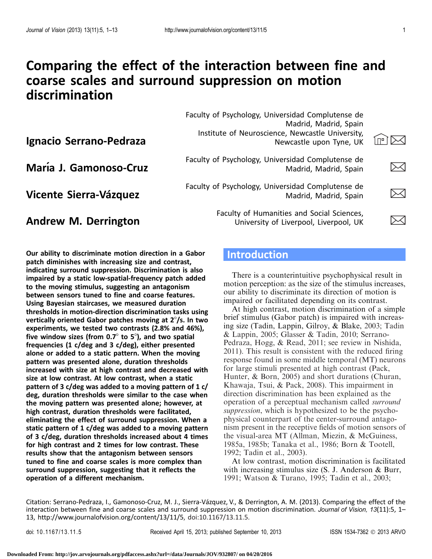# Comparing the effect of the interaction between fine and coarse scales and surround suppression on motion discrimination

**Ignacio Serrano-Pedraza**  $\qquad \qquad \text{Newcastle upon Type, UK}$ Madrid, Madrid, Spain Institute of Neuroscience, Newcastle University, Newcastle upon Tyne, UK Faculty of Psychology, Universidad Complutense de<br>Madrid, Madrid, Spain Madrid, Spain Madrid, Madrid, Spain **Vicente Sierra-Vázquez Faculty of Psychology, Universidad Complutense de**<br>Madrid, Madrid, Spain Madrid, Madrid, Spain Faculty of Humanities and Social Sciences,<br>Andrew M. Derrington **1990** Thiversity of Liverpool, Liverpool, UK University of Liverpool, Liverpool, UK

Our ability to discriminate motion direction in a Gabor patch diminishes with increasing size and contrast, indicating surround suppression. Discrimination is also impaired by a static low-spatial-frequency patch added to the moving stimulus, suggesting an antagonism between sensors tuned to fine and coarse features. Using Bayesian staircases, we measured duration thresholds in motion-direction discrimination tasks using vertically oriented Gabor patches moving at  $2^{\circ}/s$ . In two experiments, we tested two contrasts (2.8% and 46%), five window sizes (from  $0.7^\circ$  to 5°), and two spatial frequencies (1 c/deg and 3 c/deg), either presented alone or added to a static pattern. When the moving pattern was presented alone, duration thresholds increased with size at high contrast and decreased with size at low contrast. At low contrast, when a static pattern of 3  $c$ /deg was added to a moving pattern of 1  $c$ / deg, duration thresholds were similar to the case when the moving pattern was presented alone; however, at high contrast, duration thresholds were facilitated, eliminating the effect of surround suppression. When a static pattern of 1 c/deg was added to a moving pattern of 3 c/deg, duration thresholds increased about 4 times for high contrast and 2 times for low contrast. These results show that the antagonism between sensors tuned to fine and coarse scales is more complex than surround suppression, suggesting that it reflects the operation of a different mechanism.

# **Introduction**

Faculty of Psychology, Universidad Complutense de

There is a counterintuitive psychophysical result in motion perception: as the size of the stimulus increases, our ability to discriminate its direction of motion is impaired or facilitated depending on its contrast.

At high contrast, motion discrimination of a simple brief stimulus (Gabor patch) is impaired with increasing size (Tadin, Lappin, Gilroy, & Blake, [2003;](#page-12-0) Tadin & Lappin, [2005](#page-12-0); Glasser & Tadin, [2010](#page-11-0); Serrano-Pedraza, Hogg, & Read, [2011;](#page-12-0) see review in Nishida, [2011\)](#page-11-0). This result is consistent with the reduced firing response found in some middle temporal (MT) neurons for large stimuli presented at high contrast (Pack, Hunter, & Born, [2005\)](#page-11-0) and short durations (Churan, Khawaja, Tsui, & Pack, [2008\)](#page-11-0). This impairment in direction discrimination has been explained as the operation of a perceptual mechanism called surround suppression, which is hypothesized to be the psychophysical counterpart of the center-surround antagonism present in the receptive fields of motion sensors of the visual-area MT (Allman, Miezin, & McGuiness, [1985a](#page-10-0), [1985b;](#page-11-0) Tanaka et al., [1986;](#page-12-0) Born & Tootell, [1992;](#page-11-0) Tadin et al., [2003\)](#page-12-0).

At low contrast, motion discrimination is facilitated with increasing stimulus size (S. J. Anderson & Burr, [1991;](#page-11-0) Watson & Turano, [1995](#page-12-0); Tadin et al., [2003](#page-12-0);

Citation: Serrano-Pedraza, I., Gamonoso-Cruz, M. J., Sierra-Va´zquez, V., & Derrington, A. M. (2013). Comparing the effect of the interaction between fine and coarse scales and surround suppression on motion discrimination. Journal of Vision, 13(11):5, 1– 13, http://www.journalofvision.org/content/13/11/5, doi:10.1167/13.11.5.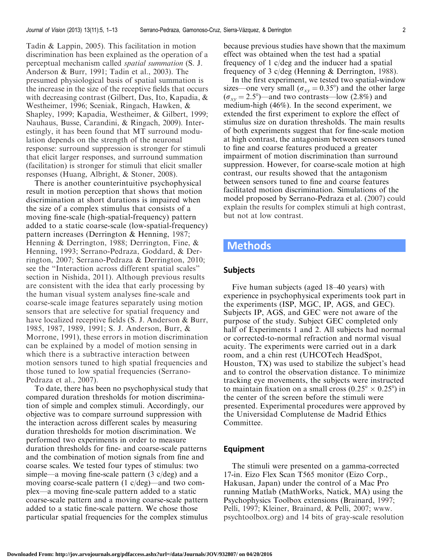Tadin & Lappin, [2005\)](#page-12-0). This facilitation in motion discrimination has been explained as the operation of a perceptual mechanism called spatial summation (S. J. Anderson & Burr, [1991;](#page-11-0) Tadin et al., [2003\)](#page-12-0). The presumed physiological basis of spatial summation is the increase in the size of the receptive fields that occurs with decreasing contrast (Gilbert, Das, Ito, Kapadia, & Westheimer, [1996;](#page-11-0) Sceniak, Ringach, Hawken, & Shapley, [1999](#page-12-0); Kapadia, Westheimer, & Gilbert, [1999](#page-11-0); Nauhaus, Busse, Carandini, & Ringach, [2009\)](#page-11-0). Interestingly, it has been found that MT surround modulation depends on the strength of the neuronal response: surround suppression is stronger for stimuli that elicit larger responses, and surround summation (facilitation) is stronger for stimuli that elicit smaller responses (Huang, Albright, & Stoner, [2008](#page-11-0)).

There is another counterintuitive psychophysical result in motion perception that shows that motion discrimination at short durations is impaired when the size of a complex stimulus that consists of a moving fine-scale (high-spatial-frequency) pattern added to a static coarse-scale (low-spatial-frequency) pattern increases (Derrington & Henning, [1987;](#page-11-0) Henning & Derrington, [1988;](#page-11-0) Derrington, Fine, & Henning, [1993;](#page-11-0) Serrano-Pedraza, Goddard, & Derrington, [2007;](#page-12-0) Serrano-Pedraza & Derrington, [2010;](#page-12-0) see the ''Interaction across different spatial scales'' section in Nishida, [2011](#page-11-0)). Although previous results are consistent with the idea that early processing by the human visual system analyses fine-scale and coarse-scale image features separately using motion sensors that are selective for spatial frequency and have localized receptive fields (S. J. Anderson & Burr, [1985, 1987, 1989](#page-11-0), [1991](#page-11-0); S. J. Anderson, Burr, & Morrone, [1991\)](#page-11-0), these errors in motion discrimination can be explained by a model of motion sensing in which there is a subtractive interaction between motion sensors tuned to high spatial frequencies and those tuned to low spatial frequencies (Serrano-Pedraza et al., [2007\)](#page-12-0).

To date, there has been no psychophysical study that compared duration thresholds for motion discrimination of simple and complex stimuli. Accordingly, our objective was to compare surround suppression with the interaction across different scales by measuring duration thresholds for motion discrimination. We performed two experiments in order to measure duration thresholds for fine- and coarse-scale patterns and the combination of motion signals from fine and coarse scales. We tested four types of stimulus: two simple—a moving fine-scale pattern (3 c/deg) and a moving coarse-scale pattern (1 c/deg)—and two complex—a moving fine-scale pattern added to a static coarse-scale pattern and a moving coarse-scale pattern added to a static fine-scale pattern. We chose those particular spatial frequencies for the complex stimulus because previous studies have shown that the maximum effect was obtained when the test had a spatial frequency of 1 c/deg and the inducer had a spatial frequency of 3 c/deg (Henning & Derrington, [1988](#page-11-0)).

In the first experiment, we tested two spatial-window sizes—one very small ( $\sigma_{xy} = 0.35^{\circ}$ ) and the other large  $(\sigma_{xy} = 2.5^{\circ})$ —and two contrasts—low (2.8%) and medium-high (46%). In the second experiment, we extended the first experiment to explore the effect of stimulus size on duration thresholds. The main results of both experiments suggest that for fine-scale motion at high contrast, the antagonism between sensors tuned to fine and coarse features produced a greater impairment of motion discrimination than surround suppression. However, for coarse-scale motion at high contrast, our results showed that the antagonism between sensors tuned to fine and coarse features facilitated motion discrimination. Simulations of the model proposed by Serrano-Pedraza et al. [\(2007](#page-12-0)) could explain the results for complex stimuli at high contrast, but not at low contrast.

## Methods

#### Subjects

Five human subjects (aged 18–40 years) with experience in psychophysical experiments took part in the experiments (ISP, MGC, IP, AGS, and GEC). Subjects IP, AGS, and GEC were not aware of the purpose of the study. Subject GEC completed only half of Experiments 1 and 2. All subjects had normal or corrected-to-normal refraction and normal visual acuity. The experiments were carried out in a dark room, and a chin rest (UHCOTech HeadSpot, Houston, TX) was used to stabilize the subject's head and to control the observation distance. To minimize tracking eye movements, the subjects were instructed to maintain fixation on a small cross  $(0.25^{\circ} \times 0.25^{\circ})$  in the center of the screen before the stimuli were presented. Experimental procedures were approved by the Universidad Complutense de Madrid Ethics Committee.

#### Equipment

The stimuli were presented on a gamma-corrected 17-in. Eizo Flex Scan T565 monitor (Eizo Corp., Hakusan, Japan) under the control of a Mac Pro running Matlab (MathWorks, Natick, MA) using the Psychophysics Toolbox extensions (Brainard, [1997;](#page-11-0) Pelli, [1997;](#page-11-0) Kleiner, Brainard, & Pelli, [2007](#page-11-0); [www.](http://www.psychtoolbox.org) [psychtoolbox.org](http://www.psychtoolbox.org)) and 14 bits of gray-scale resolution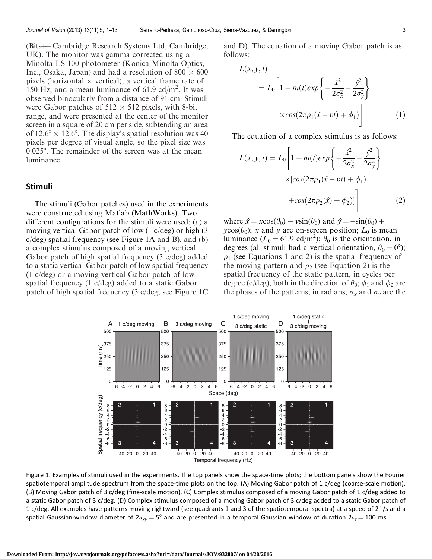<span id="page-2-0"></span> $(Bits \nightharpoonup Cambridge Research Systems Ltd, Cambridge,$ UK). The monitor was gamma corrected using a Minolta LS-100 photometer (Konica Minolta Optics, Inc., Osaka, Japan) and had a resolution of  $800 \times 600$ pixels (horizontal  $\times$  vertical), a vertical frame rate of 150 Hz, and a mean luminance of  $61.9 \text{ cd/m}^2$ . It was observed binocularly from a distance of 91 cm. Stimuli were Gabor patches of  $512 \times 512$  pixels, with 8-bit range, and were presented at the center of the monitor screen in a square of 20 cm per side, subtending an area of  $12.6^{\circ} \times 12.6^{\circ}$ . The display's spatial resolution was 40 pixels per degree of visual angle, so the pixel size was  $0.025^{\circ}$ . The remainder of the screen was at the mean luminance.

#### Stimuli

The stimuli (Gabor patches) used in the experiments were constructed using Matlab (MathWorks). Two different configurations for the stimuli were used: (a) a moving vertical Gabor patch of low (1 c/deg) or high (3 c/deg) spatial frequency (see Figure 1A and B), and (b) a complex stimulus composed of a moving vertical Gabor patch of high spatial frequency (3 c/deg) added to a static vertical Gabor patch of low spatial frequency (1 c/deg) or a moving vertical Gabor patch of low spatial frequency (1 c/deg) added to a static Gabor patch of high spatial frequency (3 c/deg; see Figure 1C

and D). The equation of a moving Gabor patch is as follows:

$$
L(x, y, t)
$$
  
=  $L_0 \left[ 1 + m(t) exp\left\{ -\frac{\hat{x}^2}{2\sigma_x^2} - \frac{\hat{y}^2}{2\sigma_y^2} \right\}$   

$$
\times cos(2\pi \rho_1(\hat{x} - vt) + \phi_1) \right]
$$
 (1)

The equation of a complex stimulus is as follows:

$$
L(x, y, t) = L_0 \left[ 1 + m(t) exp\left\{ -\frac{\hat{x}^2}{2\sigma_x^2} - \frac{\hat{y}^2}{2\sigma_y^2} \right\} \times \left[ cos(2\pi \rho_1 (\hat{x} - vt) + \phi_1) + cos(2\pi \rho_2 (\hat{x}) + \phi_2) \right] \right]
$$
(2)

where  $\hat{x} = x\cos(\theta_0) + y\sin(\theta_0)$  and  $\hat{y} = -\sin(\theta_0) + y\sin(\theta_0)$  $y\cos(\theta_0)$ ; x and y are on-screen position;  $L_0$  is mean luminance  $(L_0 = 61.9 \text{ cd/m}^2)$ ;  $\theta_0$  is the orientation, in degrees (all stimuli had a vertical orientation,  $\theta_0 = 0^{\circ}$ );  $\rho_1$  (see Equations 1 and 2) is the spatial frequency of the moving pattern and  $\rho_2$  (see Equation 2) is the spatial frequency of the static pattern, in cycles per degree (c/deg), both in the direction of  $\theta_0$ ;  $\phi_1$  and  $\phi_2$  are the phases of the patterns, in radians;  $\sigma_x$  and  $\sigma_y$  are the



Figure 1. Examples of stimuli used in the experiments. The top panels show the space-time plots; the bottom panels show the Fourier spatiotemporal amplitude spectrum from the space-time plots on the top. (A) Moving Gabor patch of 1 c/deg (coarse-scale motion). (B) Moving Gabor patch of 3 c/deg (fine-scale motion). (C) Complex stimulus composed of a moving Gabor patch of 1 c/deg added to a static Gabor patch of 3 c/deg. (D) Complex stimulus composed of a moving Gabor patch of 3 c/deg added to a static Gabor patch of 1 c/deg. All examples have patterns moving rightward (see quadrants 1 and 3 of the spatiotemporal spectra) at a speed of 2  $\degree$ /s and a spatial Gaussian-window diameter of  $2\sigma_{xy} = 5^\circ$  and are presented in a temporal Gaussian window of duration  $2\sigma_t = 100$  ms.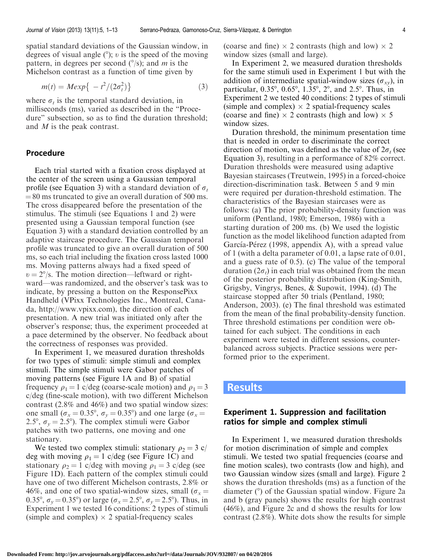spatial standard deviations of the Gaussian window, in degrees of visual angle  $(\circ)$ ; v is the speed of the moving pattern, in degrees per second  $(^{\circ}/s)$ ; and *m* is the Michelson contrast as a function of time given by

$$
m(t) = M \exp\left\{-t^2/(2\sigma_t^2)\right\}
$$
 (3)

where  $\sigma_t$  is the temporal standard deviation, in milliseconds (ms), varied as described in the ''Procedure'' subsection, so as to find the duration threshold; and M is the peak contrast.

#### Procedure

Each trial started with a fixation cross displayed at the center of the screen using a Gaussian temporal profile (see Equation 3) with a standard deviation of  $\sigma_t$  $= 80$  ms truncated to give an overall duration of 500 ms. The cross disappeared before the presentation of the stimulus. The stimuli (see [Equations 1](#page-2-0) and [2](#page-2-0)) were presented using a Gaussian temporal function (see Equation 3) with a standard deviation controlled by an adaptive staircase procedure. The Gaussian temporal profile was truncated to give an overall duration of 500 ms, so each trial including the fixation cross lasted 1000 ms. Moving patterns always had a fixed speed of  $v = 2^{\circ}/s$ . The motion direction—leftward or rightward—was randomized, and the observer's task was to indicate, by pressing a button on the ResponsePixx Handheld (VPixx Technologies Inc., Montreal, Canada, [http://www.vpixx.com\)](http://www.vpixx.com), the direction of each presentation. A new trial was initiated only after the observer's response; thus, the experiment proceeded at a pace determined by the observer. No feedback about the correctness of responses was provided.

In Experiment 1, we measured duration thresholds for two types of stimuli: simple stimuli and complex stimuli. The simple stimuli were Gabor patches of moving patterns (see [Figure 1A](#page-2-0) and [B\)](#page-2-0) of spatial frequency  $\rho_1 = 1$  c/deg (coarse-scale motion) and  $\rho_1 = 3$ c/deg (fine-scale motion), with two different Michelson contrast (2.8% and 46%) and two spatial window sizes: one small ( $\sigma_x = 0.35^\circ$ ,  $\sigma_y = 0.35^\circ$ ) and one large ( $\sigma_x =$ 2.5°,  $\sigma_v = 2.5$ °). The complex stimuli were Gabor patches with two patterns, one moving and one stationary.

We tested two complex stimuli: stationary  $\rho_2 = 3$  c/ deg with moving  $\rho_1 = 1$  c/deg (see [Figure 1C\)](#page-2-0) and stationary  $\rho_2 = 1$  c/deg with moving  $\rho_1 = 3$  c/deg (see [Figure 1D\)](#page-2-0). Each pattern of the complex stimuli could have one of two different Michelson contrasts, 2.8% or 46%, and one of two spatial-window sizes, small ( $\sigma_x$  = 0.35°,  $\sigma_y = 0.35$ °) or large ( $\sigma_x = 2.5$ °,  $\sigma_y = 2.5$ °). Thus, in Experiment 1 we tested 16 conditions: 2 types of stimuli (simple and complex)  $\times$  2 spatial-frequency scales

(coarse and fine)  $\times$  2 contrasts (high and low)  $\times$  2 window sizes (small and large).

In Experiment 2, we measured duration thresholds for the same stimuli used in Experiment 1 but with the addition of intermediate spatial-window sizes  $(\sigma_{xy})$ , in particular,  $0.35^{\circ}$ ,  $0.65^{\circ}$ ,  $1.35^{\circ}$ ,  $2^{\circ}$ , and  $2.5^{\circ}$ . Thus, in Experiment 2 we tested 40 conditions: 2 types of stimuli (simple and complex)  $\times$  2 spatial-frequency scales (coarse and fine)  $\times$  2 contrasts (high and low)  $\times$  5 window sizes.

Duration threshold, the minimum presentation time that is needed in order to discriminate the correct direction of motion, was defined as the value of  $2\sigma_t$  (see Equation 3), resulting in a performance of 82% correct. Duration thresholds were measured using adaptive Bayesian staircases (Treutwein, [1995\)](#page-12-0) in a forced-choice direction-discrimination task. Between 5 and 9 min were required per duration-threshold estimation. The characteristics of the Bayesian staircases were as follows: (a) The prior probability-density function was uniform (Pentland, [1980](#page-12-0); Emerson, [1986](#page-11-0)) with a starting duration of 200 ms. (b) We used the logistic function as the model likelihood function adapted from García-Pérez [\(1998](#page-11-0), appendix A), with a spread value of 1 (with a delta parameter of 0.01, a lapse rate of 0.01, and a guess rate of 0.5). (c) The value of the temporal duration ( $2\sigma_t$ ) in each trial was obtained from the mean of the posterior probability distribution (King-Smith, Grigsby, Vingrys, Benes, & Supowit, [1994\)](#page-11-0). (d) The staircase stopped after 50 trials (Pentland, [1980;](#page-12-0) Anderson, [2003](#page-11-0)). (e) The final threshold was estimated from the mean of the final probability-density function. Three threshold estimations per condition were obtained for each subject. The conditions in each experiment were tested in different sessions, counterbalanced across subjects. Practice sessions were performed prior to the experiment.

## Results

#### Experiment 1. Suppression and facilitation ratios for simple and complex stimuli

In Experiment 1, we measured duration thresholds for motion discrimination of simple and complex stimuli. We tested two spatial frequencies (coarse and fine motion scales), two contrasts (low and high), and two Gaussian window sizes (small and large). [Figure 2](#page-4-0) shows the duration thresholds (ms) as a function of the diameter  $\binom{6}{2}$  of the Gaussian spatial window. [Figure 2a](#page-4-0) and [b](#page-4-0) (gray panels) shows the results for high contrast (46%), and [Figure 2c](#page-4-0) and [d](#page-4-0) shows the results for low contrast (2.8%). White dots show the results for simple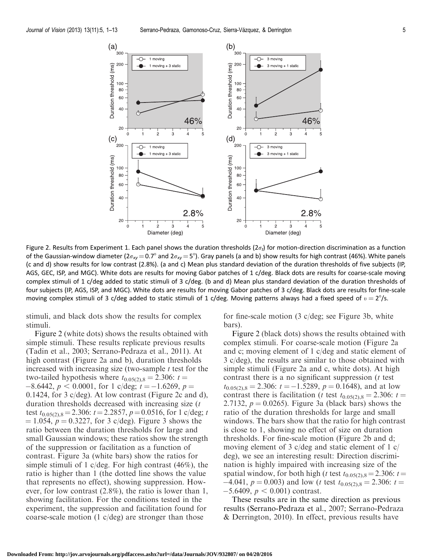<span id="page-4-0"></span>

Figure 2. Results from Experiment 1. Each panel shows the duration thresholds ( $2\sigma_t$ ) for motion-direction discrimination as a function of the Gaussian-window diameter ( $2\sigma_{xy}$  = 0.7° and  $2\sigma_{xy}$  = 5°). Gray panels (a and b) show results for high contrast (46%). White panels (c and d) show results for low contrast (2.8%). (a and c) Mean plus standard deviation of the duration thresholds of five subjects (IP, AGS, GEC, ISP, and MGC). White dots are results for moving Gabor patches of 1 c/deg. Black dots are results for coarse-scale moving complex stimuli of 1 c/deg added to static stimuli of 3 c/deg. (b and d) Mean plus standard deviation of the duration thresholds of four subjects (IP, AGS, ISP, and MGC). White dots are results for moving Gabor patches of 3 c/deg. Black dots are results for fine-scale moving complex stimuli of 3 c/deg added to static stimuli of 1 c/deg. Moving patterns always had a fixed speed of  $v = 2^{\circ}/s$ .

stimuli, and black dots show the results for complex stimuli.

Figure 2 (white dots) shows the results obtained with simple stimuli. These results replicate previous results (Tadin et al., [2003](#page-12-0); Serrano-Pedraza et al., [2011](#page-12-0)). At high contrast (Figure 2a and b), duration thresholds increased with increasing size (two-sample  $t$  test for the two-tailed hypothesis where  $t_{0.05(2),8} = 2.306$ :  $t =$  $-8.6442$ ,  $p < 0.0001$ , for 1 c/deg;  $t = -1.6269$ ,  $p =$ 0.1424, for 3 c/deg). At low contrast (Figure 2c and d), duration thresholds decreased with increasing size (*t* test  $t_{0.05(2),8}$  = 2.306:  $t$  = 2.2857,  $p$  = 0.0516, for 1 c/deg; t  $= 1.054$ ,  $p = 0.3227$ , for 3 c/deg). [Figure 3](#page-5-0) shows the ratio between the duration thresholds for large and small Gaussian windows; these ratios show the strength of the suppression or facilitation as a function of contrast. [Figure 3a](#page-5-0) (white bars) show the ratios for simple stimuli of 1 c/deg. For high contrast (46%), the ratio is higher than 1 (the dotted line shows the value that represents no effect), showing suppression. However, for low contrast (2.8%), the ratio is lower than 1, showing facilitation. For the conditions tested in the experiment, the suppression and facilitation found for coarse-scale motion (1 c/deg) are stronger than those

for fine-scale motion (3 c/deg; see [Figure 3b,](#page-5-0) white bars).

Figure 2 (black dots) shows the results obtained with complex stimuli. For coarse-scale motion (Figure 2a and c; moving element of 1 c/deg and static element of 3 c/deg), the results are similar to those obtained with simple stimuli (Figure 2a and c, white dots). At high contrast there is a no significant suppression  $(t$  test  $t_{0.05(2),8} = 2.306$ :  $t = -1.5289$ ,  $p = 0.1648$ ), and at low contrast there is facilitation (t test  $t_{0.05(2),8} = 2.306$ :  $t =$ 2.7132,  $p = 0.0265$ . [Figure 3a](#page-5-0) (black bars) shows the ratio of the duration thresholds for large and small windows. The bars show that the ratio for high contrast is close to 1, showing no effect of size on duration thresholds. For fine-scale motion (Figure 2b and d; moving element of 3 c/deg and static element of 1 c/ deg), we see an interesting result: Direction discrimination is highly impaired with increasing size of the spatial window, for both high (t test  $t_{0.05(2),8} = 2.306$ : t =  $-4.041$ ,  $p = 0.003$ ) and low (*t* test  $t_{0.05(2),8} = 2.306$ :  $t =$  $-5.6409, p < 0.001$ ) contrast.

These results are in the same direction as previous results (Serrano-Pedraza et al., [2007;](#page-12-0) Serrano-Pedraza & Derrington, [2010](#page-12-0)). In effect, previous results have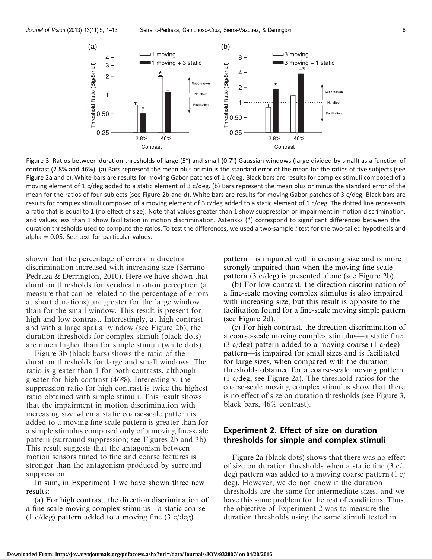<span id="page-5-0"></span>

Figure 3. Ratios between duration thresholds of large ( $5^{\circ}$ ) and small (0.7 $^{\circ}$ ) Gaussian windows (large divided by small) as a function of contrast (2.8% and 46%). (a) Bars represent the mean plus or minus the standard error of the mean for the ratios of five subjects (see [Figure 2a](#page-4-0) and [c](#page-4-0)). White bars are results for moving Gabor patches of 1 c/deg. Black bars are results for complex stimuli composed of a moving element of 1 c/deg added to a static element of 3 c/deg. (b) Bars represent the mean plus or minus the standard error of the mean for the ratios of four subjects (see [Figure 2b](#page-4-0) and [d\)](#page-4-0). White bars are results for moving Gabor patches of 3 c/deg. Black bars are results for complex stimuli composed of a moving element of 3 c/deg added to a static element of 1 c/deg. The dotted line represents a ratio that is equal to 1 (no effect of size). Note that values greater than 1 show suppression or impairment in motion discrimination, and values less than 1 show facilitation in motion discrimination. Asterisks (\*) correspond to significant differences between the duration thresholds used to compute the ratios. To test the differences, we used a two-sample t test for the two-tailed hypothesis and  $alpha = 0.05$ . See text for particular values.

shown that the percentage of errors in direction discrimination increased with increasing size (Serrano-Pedraza & Derrington, [2010](#page-12-0)). Here we have shown that duration thresholds for veridical motion perception (a measure that can be related to the percentage of errors at short durations) are greater for the large window than for the small window. This result is present for high and low contrast. Interestingly, at high contrast and with a large spatial window (see [Figure 2b](#page-4-0)), the duration thresholds for complex stimuli (black dots) are much higher than for simple stimuli (white dots).

Figure 3b (black bars) shows the ratio of the duration thresholds for large and small windows. The ratio is greater than 1 for both contrasts, although greater for high contrast (46%). Interestingly, the suppression ratio for high contrast is twice the highest ratio obtained with simple stimuli. This result shows that the impairment in motion discrimination with increasing size when a static coarse-scale pattern is added to a moving fine-scale pattern is greater than for a simple stimulus composed only of a moving fine-scale pattern (surround suppression; see [Figures 2b](#page-4-0) and 3b). This result suggests that the antagonism between motion sensors tuned to fine and coarse features is stronger than the antagonism produced by surround suppression.

In sum, in Experiment 1 we have shown three new results:

(a) For high contrast, the direction discrimination of a fine-scale moving complex stimulus—a static coarse  $(1 \text{ c/deg})$  pattern added to a moving fine  $(3 \text{ c/deg})$ 

pattern—is impaired with increasing size and is more strongly impaired than when the moving fine-scale pattern (3 c/deg) is presented alone (see [Figure 2b](#page-4-0)).

(b) For low contrast, the direction discrimination of a fine-scale moving complex stimulus is also impaired with increasing size, but this result is opposite to the facilitation found for a fine-scale moving simple pattern (see [Figure 2d\)](#page-4-0).

(c) For high contrast, the direction discrimination of a coarse-scale moving complex stimulus—a static fine  $(3 \text{ c/deg})$  pattern added to a moving coarse  $(1 \text{ c/deg})$ pattern—is impaired for small sizes and is facilitated for large sizes, when compared with the duration thresholds obtained for a coarse-scale moving pattern (1 c/deg; see [Figure 2a\)](#page-4-0). The threshold ratios for the coarse-scale moving complex stimulus show that there is no effect of size on duration thresholds (see Figure 3, black bars, 46% contrast).

## Experiment 2. Effect of size on duration thresholds for simple and complex stimuli

[Figure 2a](#page-4-0) (black dots) shows that there was no effect of size on duration thresholds when a static fine (3 c/ deg) pattern was added to a moving coarse pattern (1 c/ deg). However, we do not know if the duration thresholds are the same for intermediate sizes, and we have this same problem for the rest of conditions. Thus, the objective of Experiment 2 was to measure the duration thresholds using the same stimuli tested in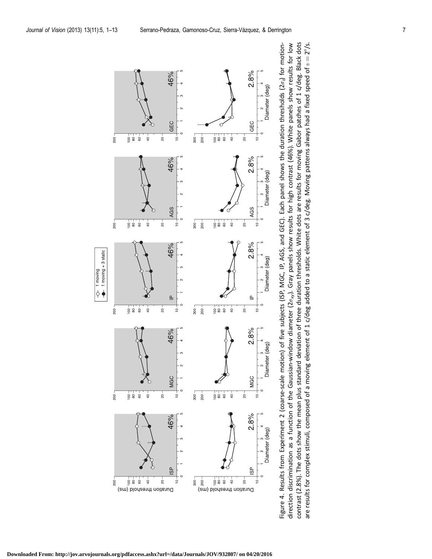<span id="page-6-0"></span>

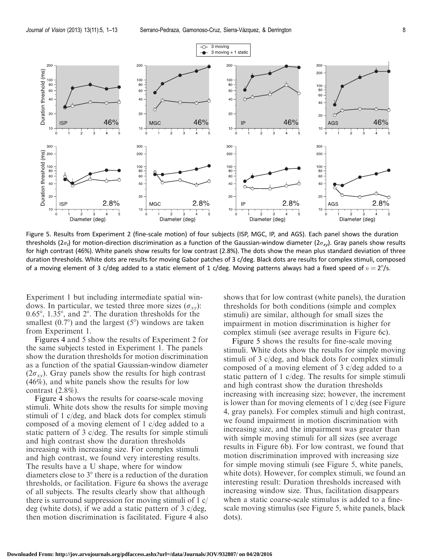<span id="page-7-0"></span>

Figure 5. Results from Experiment 2 (fine-scale motion) of four subjects (ISP, MGC, IP, and AGS). Each panel shows the duration thresholds ( $2\sigma_t$ ) for motion-direction discrimination as a function of the Gaussian-window diameter ( $2\sigma_{xy}$ ). Gray panels show results for high contrast (46%). White panels show results for low contrast (2.8%). The dots show the mean plus standard deviation of three duration thresholds. White dots are results for moving Gabor patches of 3 c/deg. Black dots are results for complex stimuli, composed of a moving element of 3 c/deg added to a static element of 1 c/deg. Moving patterns always had a fixed speed of  $v = 2^{\circ}/s$ .

Experiment 1 but including intermediate spatial windows. In particular, we tested three more sizes  $(\sigma_{xy})$ :  $0.65^{\circ}$ , 1.35°, and  $2^{\circ}$ . The duration thresholds for the smallest  $(0.7^{\circ})$  and the largest  $(5^{\circ})$  windows are taken from Experiment 1.

[Figures 4](#page-6-0) and 5 show the results of Experiment 2 for the same subjects tested in Experiment 1. The panels show the duration thresholds for motion discrimination as a function of the spatial Gaussian-window diameter  $(2\sigma_{xy})$ . Gray panels show the results for high contrast (46%), and white panels show the results for low contrast (2.8%).

[Figure 4](#page-6-0) shows the results for coarse-scale moving stimuli. White dots show the results for simple moving stimuli of 1 c/deg, and black dots for complex stimuli composed of a moving element of 1 c/deg added to a static pattern of 3 c/deg. The results for simple stimuli and high contrast show the duration thresholds increasing with increasing size. For complex stimuli and high contrast, we found very interesting results. The results have a U shape, where for window diameters close to  $3^\circ$  there is a reduction of the duration thresholds, or facilitation. [Figure 6a](#page-8-0) shows the average of all subjects. The results clearly show that although there is surround suppression for moving stimuli of 1 c/ deg (white dots), if we add a static pattern of 3 c/deg, then motion discrimination is facilitated. [Figure 4](#page-6-0) also

shows that for low contrast (white panels), the duration thresholds for both conditions (simple and complex stimuli) are similar, although for small sizes the impairment in motion discrimination is higher for complex stimuli (see average results in [Figure 6c\)](#page-8-0).

Figure 5 shows the results for fine-scale moving stimuli. White dots show the results for simple moving stimuli of 3 c/deg, and black dots for complex stimuli composed of a moving element of 3 c/deg added to a static pattern of 1 c/deg. The results for simple stimuli and high contrast show the duration thresholds increasing with increasing size; however, the increment is lower than for moving elements of 1 c/deg (see [Figure](#page-6-0) [4](#page-6-0), gray panels). For complex stimuli and high contrast, we found impairment in motion discrimination with increasing size, and the impairment was greater than with simple moving stimuli for all sizes (see average results in [Figure 6b](#page-8-0)). For low contrast, we found that motion discrimination improved with increasing size for simple moving stimuli (see Figure 5, white panels, white dots). However, for complex stimuli, we found an interesting result: Duration thresholds increased with increasing window size. Thus, facilitation disappears when a static coarse-scale stimulus is added to a finescale moving stimulus (see Figure 5, white panels, black dots).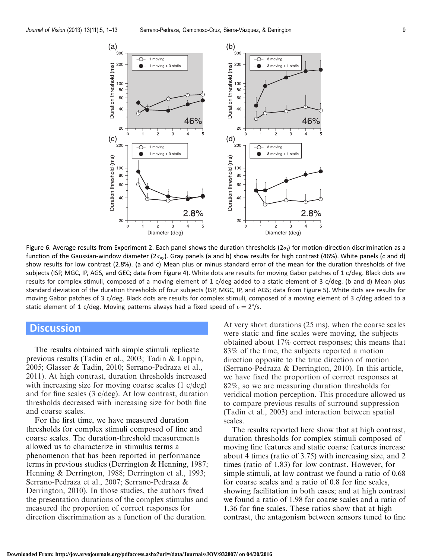<span id="page-8-0"></span>

Figure 6. Average results from Experiment 2. Each panel shows the duration thresholds ( $2\sigma_t$ ) for motion-direction discrimination as a function of the Gaussian-window diameter ( $2\sigma_{xy}$ ). Gray panels (a and b) show results for high contrast (46%). White panels (c and d) show results for low contrast (2.8%). (a and c) Mean plus or minus standard error of the mean for the duration thresholds of five subjects (ISP, MGC, IP, AGS, and GEC; data from [Figure 4](#page-6-0)). White dots are results for moving Gabor patches of 1 c/deg. Black dots are results for complex stimuli, composed of a moving element of 1 c/deg added to a static element of 3 c/deg. (b and d) Mean plus standard deviation of the duration thresholds of four subjects (ISP, MGC, IP, and AGS; data from [Figure 5\)](#page-7-0). White dots are results for moving Gabor patches of 3 c/deg. Black dots are results for complex stimuli, composed of a moving element of 3 c/deg added to a static element of 1 c/deg. Moving patterns always had a fixed speed of  $v = 2^{\circ}/s$ .

## **Discussion**

The results obtained with simple stimuli replicate previous results (Tadin et al., [2003](#page-12-0); Tadin & Lappin, [2005;](#page-12-0) Glasser & Tadin, [2010](#page-11-0); Serrano-Pedraza et al., [2011\)](#page-12-0). At high contrast, duration thresholds increased with increasing size for moving coarse scales (1 c/deg) and for fine scales (3 c/deg). At low contrast, duration thresholds decreased with increasing size for both fine and coarse scales.

For the first time, we have measured duration thresholds for complex stimuli composed of fine and coarse scales. The duration-threshold measurements allowed us to characterize in stimulus terms a phenomenon that has been reported in performance terms in previous studies (Derrington & Henning, [1987](#page-11-0); Henning & Derrington, [1988](#page-11-0); Derrington et al., [1993;](#page-11-0) Serrano-Pedraza et al., [2007;](#page-12-0) Serrano-Pedraza & Derrington, [2010](#page-12-0)). In those studies, the authors fixed the presentation durations of the complex stimulus and measured the proportion of correct responses for direction discrimination as a function of the duration.

At very short durations (25 ms), when the coarse scales were static and fine scales were moving, the subjects obtained about 17% correct responses; this means that 83% of the time, the subjects reported a motion direction opposite to the true direction of motion (Serrano-Pedraza & Derrington, [2010](#page-12-0)). In this article, we have fixed the proportion of correct responses at 82%, so we are measuring duration thresholds for veridical motion perception. This procedure allowed us to compare previous results of surround suppression (Tadin et al., [2003](#page-12-0)) and interaction between spatial scales.

The results reported here show that at high contrast, duration thresholds for complex stimuli composed of moving fine features and static coarse features increase about 4 times (ratio of 3.75) with increasing size, and 2 times (ratio of 1.83) for low contrast. However, for simple stimuli, at low contrast we found a ratio of 0.68 for coarse scales and a ratio of 0.8 for fine scales, showing facilitation in both cases; and at high contrast we found a ratio of 1.98 for coarse scales and a ratio of 1.36 for fine scales. These ratios show that at high contrast, the antagonism between sensors tuned to fine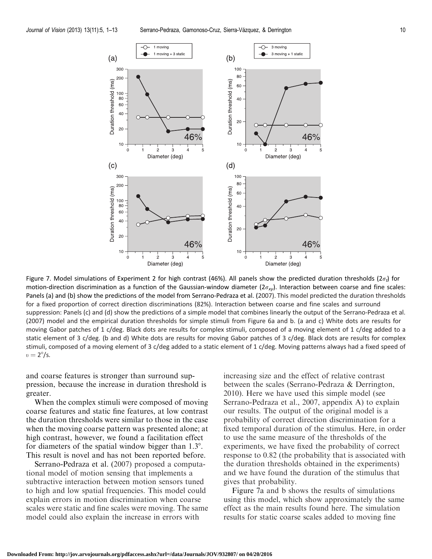<span id="page-9-0"></span>

Figure 7. Model simulations of Experiment 2 for high contrast (46%). All panels show the predicted duration thresholds ( $2\sigma_t$ ) for motion-direction discrimination as a function of the Gaussian-window diameter  $(2\sigma_{xy})$ . Interaction between coarse and fine scales: Panels (a) and (b) show the predictions of the model from Serrano-Pedraza et al. ([2007\)](#page-12-0). This model predicted the duration thresholds for a fixed proportion of correct direction discriminations (82%). Interaction between coarse and fine scales and surround suppression: Panels (c) and (d) show the predictions of a simple model that combines linearly the output of the Serrano-Pedraza et al. [\(2007\)](#page-12-0) model and the empirical duration thresholds for simple stimuli from [Figure 6a](#page-8-0) and [b](#page-8-0). (a and c) White dots are results for moving Gabor patches of 1 c/deg. Black dots are results for complex stimuli, composed of a moving element of 1 c/deg added to a static element of 3 c/deg. (b and d) White dots are results for moving Gabor patches of 3 c/deg. Black dots are results for complex stimuli, composed of a moving element of 3 c/deg added to a static element of 1 c/deg. Moving patterns always had a fixed speed of  $v = 2^{\circ}/s$ .

and coarse features is stronger than surround suppression, because the increase in duration threshold is greater.

When the complex stimuli were composed of moving coarse features and static fine features, at low contrast the duration thresholds were similar to those in the case when the moving coarse pattern was presented alone; at high contrast, however, we found a facilitation effect for diameters of the spatial window bigger than  $1.3^\circ$ . This result is novel and has not been reported before.

Serrano-Pedraza et al. [\(2007](#page-12-0)) proposed a computational model of motion sensing that implements a subtractive interaction between motion sensors tuned to high and low spatial frequencies. This model could explain errors in motion discrimination when coarse scales were static and fine scales were moving. The same model could also explain the increase in errors with

increasing size and the effect of relative contrast between the scales (Serrano-Pedraza & Derrington, [2010\)](#page-12-0). Here we have used this simple model (see Serrano-Pedraza et al., [2007](#page-12-0), appendix A) to explain our results. The output of the original model is a probability of correct direction discrimination for a fixed temporal duration of the stimulus. Here, in order to use the same measure of the thresholds of the experiments, we have fixed the probability of correct response to 0.82 (the probability that is associated with the duration thresholds obtained in the experiments) and we have found the duration of the stimulus that gives that probability.

Figure 7a and b shows the results of simulations using this model, which show approximately the same effect as the main results found here. The simulation results for static coarse scales added to moving fine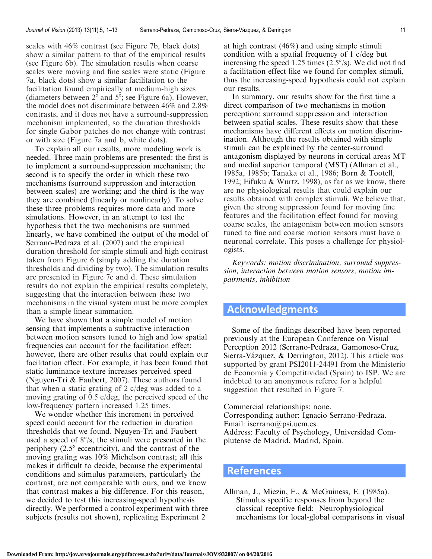<span id="page-10-0"></span>scales with 46% contrast (see [Figure 7b,](#page-9-0) black dots) show a similar pattern to that of the empirical results (see [Figure 6b](#page-8-0)). The simulation results when coarse scales were moving and fine scales were static [\(Figure](#page-9-0) [7a,](#page-9-0) black dots) show a similar facilitation to the facilitation found empirically at medium-high sizes (diameters between  $2^{\circ}$  and  $5^{\circ}$ ; see [Figure 6a](#page-8-0)). However, the model does not discriminate between 46% and 2.8% contrasts, and it does not have a surround-suppression mechanism implemented, so the duration thresholds for single Gabor patches do not change with contrast or with size [\(Figure 7a](#page-9-0) and [b](#page-9-0), white dots).

To explain all our results, more modeling work is needed. Three main problems are presented: the first is to implement a surround-suppression mechanism; the second is to specify the order in which these two mechanisms (surround suppression and interaction between scales) are working; and the third is the way they are combined (linearly or nonlinearly). To solve these three problems requires more data and more simulations. However, in an attempt to test the hypothesis that the two mechanisms are summed linearly, we have combined the output of the model of Serrano-Pedraza et al. [\(2007](#page-12-0)) and the empirical duration threshold for simple stimuli and high contrast taken from [Figure 6](#page-8-0) (simply adding the duration thresholds and dividing by two). The simulation results are presented in [Figure 7c](#page-9-0) and [d.](#page-9-0) These simulation results do not explain the empirical results completely, suggesting that the interaction between these two mechanisms in the visual system must be more complex than a simple linear summation.

We have shown that a simple model of motion sensing that implements a subtractive interaction between motion sensors tuned to high and low spatial frequencies can account for the facilitation effect; however, there are other results that could explain our facilitation effect. For example, it has been found that static luminance texture increases perceived speed (Nguyen-Tri & Faubert, [2007](#page-11-0)). These authors found that when a static grating of 2 c/deg was added to a moving grating of 0.5 c/deg, the perceived speed of the low-frequency pattern increased 1.25 times.

We wonder whether this increment in perceived speed could account for the reduction in duration thresholds that we found. Nguyen-Tri and Faubert used a speed of  $8^{\circ}/s$ , the stimuli were presented in the periphery  $(2.5^{\circ}$  eccentricity), and the contrast of the moving grating was 10% Michelson contrast; all this makes it difficult to decide, because the experimental conditions and stimulus parameters, particularly the contrast, are not comparable with ours, and we know that contrast makes a big difference. For this reason, we decided to test this increasing-speed hypothesis directly. We performed a control experiment with three subjects (results not shown), replicating Experiment 2

at high contrast (46%) and using simple stimuli condition with a spatial frequency of 1 c/deg but increasing the speed 1.25 times  $(2.5^{\circ}/s)$ . We did not find a facilitation effect like we found for complex stimuli, thus the increasing-speed hypothesis could not explain our results.

In summary, our results show for the first time a direct comparison of two mechanisms in motion perception: surround suppression and interaction between spatial scales. These results show that these mechanisms have different effects on motion discrimination. Although the results obtained with simple stimuli can be explained by the center-surround antagonism displayed by neurons in cortical areas MT and medial superior temporal (MST) (Allman et al., 1985a, [1985b;](#page-11-0) Tanaka et al., [1986;](#page-12-0) Born & Tootell, [1992;](#page-11-0) Eifuku & Wurtz, [1998](#page-11-0)), as far as we know, there are no physiological results that could explain our results obtained with complex stimuli. We believe that, given the strong suppression found for moving fine features and the facilitation effect found for moving coarse scales, the antagonism between motion sensors tuned to fine and coarse motion sensors must have a neuronal correlate. This poses a challenge for physiologists.

Keywords: motion discrimination, surround suppression, interaction between motion sensors, motion impairments, inhibition

# Acknowledgments

Some of the findings described have been reported previously at the European Conference on Visual Perception 2012 (Serrano-Pedraza, Gamonoso-Cruz, Sierra-Vázquez, & Derrington, [2012\)](#page-12-0). This article was supported by grant PSI2011-24491 from the Ministerio de Economía y Competitividad (Spain) to ISP. We are indebted to an anonymous referee for a helpful suggestion that resulted in [Figure 7.](#page-9-0)

Commercial relationships: none. Corresponding author: Ignacio Serrano-Pedraza. Email: iserrano@psi.ucm.es. Address: Faculty of Psychology, Universidad Complutense de Madrid, Madrid, Spain.

## References

Allman, J., Miezin, F., & McGuiness, E. (1985a). Stimulus specific responses from beyond the classical receptive field: Neurophysiological mechanisms for local-global comparisons in visual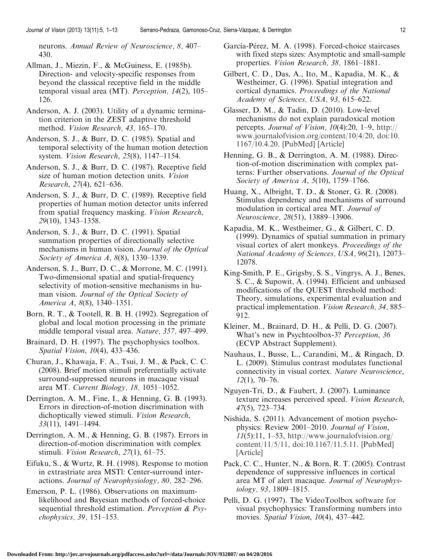<span id="page-11-0"></span>neurons. Annual Review of Neuroscience, 8, 407– 430.

- Allman, J., Miezin, F., & McGuiness, E. (1985b). Direction- and velocity-specific responses from beyond the classical receptive field in the middle temporal visual area (MT). *Perception*,  $14(2)$ ,  $105-$ 126.
- Anderson, A. J. (2003). Utility of a dynamic termination criterion in the ZEST adaptive threshold method. Vision Research, 43, 165–170.
- Anderson, S. J., & Burr, D. C. (1985). Spatial and temporal selectivity of the human motion detection system. Vision Research, 25(8), 1147–1154.
- Anderson, S. J., & Burr, D. C. (1987). Receptive field size of human motion detection units. *Vision* Research, 27(4), 621–636.
- Anderson, S. J., & Burr, D. C. (1989). Receptive field properties of human motion detector units inferred from spatial frequency masking. Vision Research, 29(10), 1343–1358.
- Anderson, S. J., & Burr, D. C. (1991). Spatial summation properties of directionally selective mechanisms in human vision. Journal of the Optical Society of America A, 8(8), 1330–1339.
- Anderson, S. J., Burr, D. C., & Morrone, M. C. (1991). Two-dimensional spatial and spatial-frequency selectivity of motion-sensitive mechanisms in human vision. Journal of the Optical Society of America A, 8(8), 1340–1351.
- Born, R. T., & Tootell, R. B. H. (1992). Segregation of global and local motion processing in the primate middle temporal visual area. Nature, 357, 497–499.
- Brainard, D. H. (1997). The psychophysics toolbox. Spatial Vision, 10(4), 433–436.
- Churan, J., Khawaja, F. A., Tsui, J. M., & Pack, C. C. (2008). Brief motion stimuli preferentially activate surround-suppressed neurons in macaque visual area MT. Current Biology, 18, 1051–1052.
- Derrington, A. M., Fine, I., & Henning, G. B. (1993). Errors in direction-of-motion discrimination with dichoptically viewed stimuli. Vision Research, 33(11), 1491–1494.
- Derrington, A. M., & Henning, G. B. (1987). Errors in direction-of-motion discrimination with complex stimuli. Vision Research, 27(1), 61–75.
- Eifuku, S., & Wurtz, R. H. (1998). Response to motion in extrastriate area MSTl: Center-surround interactions. Journal of Neurophysiology, 80, 282–296.
- Emerson, P. L. (1986). Observations on maximumlikelihood and Bayesian methods of forced-choice sequential threshold estimation. Perception & Psychophysics, 39, 151–153.
- García-Pérez, M. A. (1998). Forced-choice staircases with fixed steps sizes: Asymptotic and small-sample properties. Vision Research, 38, 1861–1881.
- Gilbert, C. D., Das, A., Ito, M., Kapadia, M. K., & Westheimer, G. (1996). Spatial integration and cortical dynamics. Proceedings of the National Academy of Sciences, USA, 93, 615–622.
- Glasser, D. M., & Tadin, D. (2010). Low-level mechanisms do not explain paradoxical motion percepts. Journal of Vision, 10(4):20, 1–9, [http://](http://www.journalofvision.org/content/10/4/20) [www.journalofvision.org/content/10/4/20](http://www.journalofvision.org/content/10/4/20), doi:10. 1167/10.4.20. [\[PubMed\]](http://www.ncbi.nlm.nih.gov/pubmed/20465339) [\[Article](http://www.journalofvision.org/content/10/4/20.long)]
- Henning, G. B., & Derrington, A. M. (1988). Direction-of-motion discrimination with complex patterns: Further observations. Journal of the Optical Society of America A, 5(10), 1759–1766.
- Huang, X., Albright, T. D., & Stoner, G. R. (2008). Stimulus dependency and mechanisms of surround modulation in cortical area MT. Journal of Neuroscience, 28(51), 13889–13906.
- Kapadia, M. K., Westheimer, G., & Gilbert, C. D. (1999). Dynamics of spatial summation in primary visual cortex of alert monkeys. Proceedings of the National Academy of Sciences, USA, 96(21), 12073– 12078.
- King-Smith, P. E., Grigsby, S. S., Vingrys, A. J., Benes, S. C., & Supowit, A. (1994). Efficient and unbiased modifications of the QUEST threshold method: Theory, simulations, experimental evaluation and practical implementation. Vision Research, 34, 885– 912.
- Kleiner, M., Brainard, D. H., & Pelli, D. G. (2007). What's new in Psychtoolbox-3? *Perception*, 36 (ECVP Abstract Supplement).
- Nauhaus, I., Busse, L., Carandini, M., & Ringach, D. L. (2009). Stimulus contrast modulates functional connectivity in visual cortex. Nature Neuroscience, 12(1), 70–76.
- Nguyen-Tri, D., & Faubert, J. (2007). Luminance texture increases perceived speed. Vision Research, 47(5), 723–734.
- Nishida, S. (2011). Advancement of motion psychophysics: Review 2001–2010. Journal of Vision,  $11(5):11$ , 1–53, [http://www.journalofvision.org/](http://www.journalofvision.org/content/11/5/11) [content/11/5/11](http://www.journalofvision.org/content/11/5/11), doi:10.1167/11.5.11. [\[PubMed](http://www.ncbi.nlm.nih.gov/pubmed/22144564)] [[Article\]](http://www.journalofvision.org/content/11/5/11.long)
- Pack, C. C., Hunter, N., & Born, R. T. (2005). Contrast dependence of suppressive influences in cortical area MT of alert macaque. Journal of Neurophysiology, 93, 1809–1815.
- Pelli, D. G. (1997). The VideoToolbox software for visual psychophysics: Transforming numbers into movies. *Spatial Vision*, 10(4), 437–442.